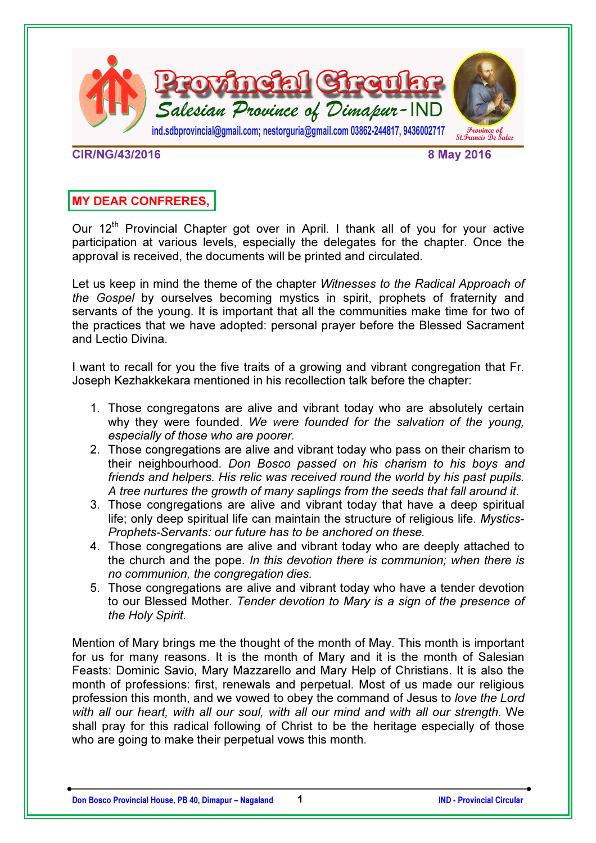

CIR/NG/43/2016 8 May 2016

# MY DEAR CONFRERES,

Our 12<sup>th</sup> Provincial Chapter got over in April. I thank all of you for your active participation at various levels, especially the delegates for the chapter. Once the approval is received, the documents will be printed and circulated.

Let us keep in mind the theme of the chapter *Witnesses to the Radical Approach of the Gospel* by ourselves becoming mystics in spirit, prophets of fraternity and servants of the young. It is important that all the communities make time for two of the practices that we have adopted: personal prayer before the Blessed Sacrament and Lectio Divina.

I want to recall for you the five traits of a growing and vibrant congregation that Fr. Joseph Kezhakkekara mentioned in his recollection talk before the chapter:

- 1. Those congregatons are alive and vibrant today who are absolutely certain why they were founded. *We were founded for the salvation of the young, especially of those who are poorer.*
- 2. Those congregations are alive and vibrant today who pass on their charism to their neighbourhood. *Don Bosco passed on his charism to his boys and friends and helpers. His relic was received round the world by his past pupils. A tree nurtures the growth of many saplings from the seeds that fall around it.*
- 3. Those congregations are alive and vibrant today that have a deep spiritual life; only deep spiritual life can maintain the structure of religious life. *Mystics-Prophets-Servants: our future has to be anchored on these.*
- 4. Those congregations are alive and vibrant today who are deeply attached to the church and the pope. *In this devotion there is communion; when there is no communion, the congregation dies.*
- 5. Those congregations are alive and vibrant today who have a tender devotion to our Blessed Mother. *Tender devotion to Mary is a sign of the presence of the Holy Spirit.*

Mention of Mary brings me the thought of the month of May. This month is important for us for many reasons. It is the month of Mary and it is the month of Salesian Feasts: Dominic Savio, Mary Mazzarello and Mary Help of Christians. It is also the month of professions: first, renewals and perpetual. Most of us made our religious profession this month, and we vowed to obey the command of Jesus to *love the Lord with all our heart, with all our soul, with all our mind and with all our strength.* We shall pray for this radical following of Christ to be the heritage especially of those who are going to make their perpetual vows this month.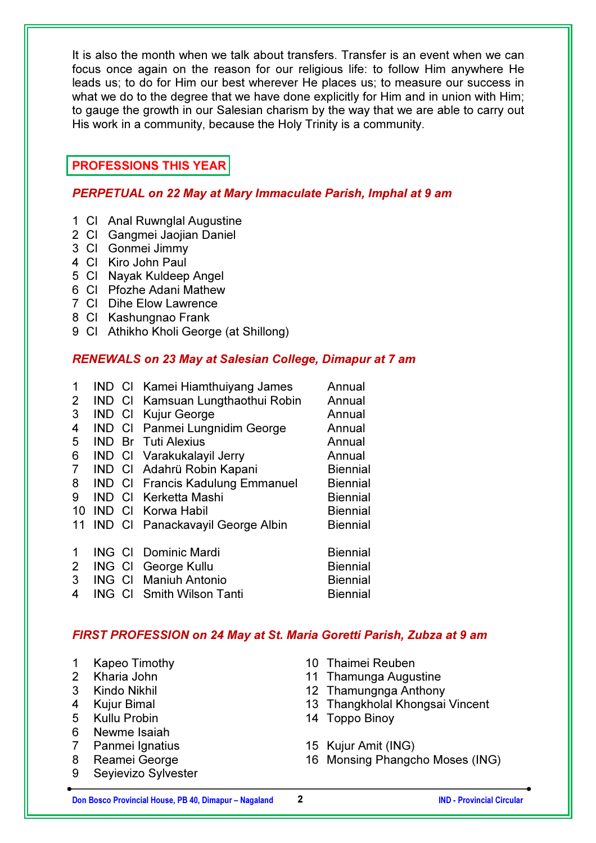It is also the month when we talk about transfers. Transfer is an event when we can focus once again on the reason for our religious life: to follow Him anywhere He leads us; to do for Him our best wherever He places us; to measure our success in what we do to the degree that we have done explicitly for Him and in union with Him; to gauge the growth in our Salesian charism by the way that we are able to carry out His work in a community, because the Holy Trinity is a community.

# PROFESSIONS THIS YEAR

### PERPETUAL on 22 May at Mary Immaculate Parish, Imphal at 9 am

- 1 Cl Anal Ruwnglal Augustine
- 2 Cl Gangmei Jaojian Daniel
- 3 Cl Gonmei Jimmy
- 4 Cl Kiro John Paul
- 5 Cl Nayak Kuldeep Angel
- 6 Cl Pfozhe Adani Mathew
- 7 Cl Dihe Elow Lawrence
- 8 Cl Kashungnao Frank
- 9 Cl Athikho Kholi George (at Shillong)

### RENEWALS on 23 May at Salesian College, Dimapur at 7 am

1 IND Cl Kamei Hiamthuiyang James Annual 2 IND Cl Kamsuan Lungthaothui Robin Annual 3 IND CI Kuiur George **Annual** 4 IND Cl Panmei Lungnidim George Annual 5 IND Br Tuti Alexius **Annual** 6 IND CI Varakukalayil Jerry **Annual** 7 IND Cl Adahrü Robin Kapani Biennial 8 IND CI Francis Kadulung Emmanuel Biennial 9 IND CI Kerketta Mashi **Biennial** 10 IND CI Korwa Habil Biennial 11 IND CI Panackavayil George Albin Biennial 1 ING CI Dominic Mardi **Biennial** 2 ING CI George Kullu Biennial 3 ING Cl Maniuh Antonio Biennial 4 ING CI Smith Wilson Tanti **Biennial** 

### FIRST PROFESSION on 24 May at St. Maria Goretti Parish, Zubza at 9 am

- 1 Kapeo Timothy
- 2 Kharia John
- 3 Kindo Nikhil
- 4 Kujur Bimal
- 5 Kullu Probin
- 6 Newme Isaiah
- 7 Panmei Ignatius
- 8 Reamei George
- 9 Seyievizo Sylvester
- 10 Thaimei Reuben
- 11 Thamunga Augustine
- 12 Thamungnga Anthony
- 13 Thangkholal Khongsai Vincent
- 14 Toppo Binoy
- 15 Kujur Amit (ING)
- 16 Monsing Phangcho Moses (ING)

Don Bosco Provincial House, PB 40, Dimapur – Nagaland 2 2 2 IND - Provincial Circular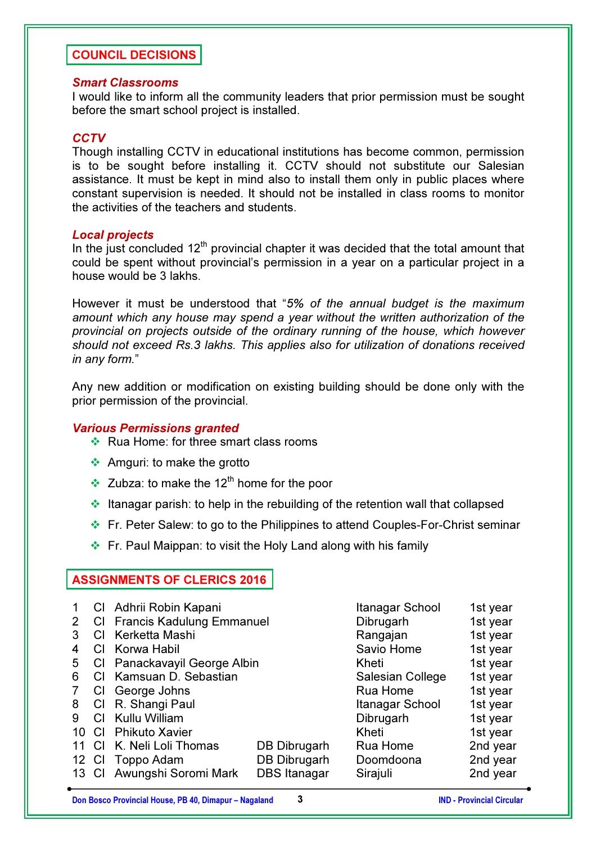## COUNCIL DECISIONS

#### Smart Classrooms

I would like to inform all the community leaders that prior permission must be sought before the smart school project is installed.

### **CCTV**

Though installing CCTV in educational institutions has become common, permission is to be sought before installing it. CCTV should not substitute our Salesian assistance. It must be kept in mind also to install them only in public places where constant supervision is needed. It should not be installed in class rooms to monitor the activities of the teachers and students.

#### Local projects

In the just concluded  $12<sup>th</sup>$  provincial chapter it was decided that the total amount that could be spent without provincial's permission in a year on a particular project in a house would be 3 lakhs.

However it must be understood that "*5% of the annual budget is the maximum amount which any house may spend a year without the written authorization of the provincial on projects outside of the ordinary running of the house, which however should not exceed Rs.3 lakhs. This applies also for utilization of donations received in any form.*"

Any new addition or modification on existing building should be done only with the prior permission of the provincial.

#### Various Permissions granted

- $\triangleleft$  Rua Home: for three smart class rooms
- Amguri: to make the grotto
- $\cdot$  Zubza: to make the 12<sup>th</sup> home for the poor
- Itanagar parish: to help in the rebuilding of the retention wall that collapsed
- Fr. Peter Salew: to go to the Philippines to attend Couples-For-Christ seminar
- Fr. Paul Maippan: to visit the Holy Land along with his family

#### ASSIGNMENTS OF CLERICS 2016

|    |     | Cl Adhrii Robin Kapani       | Itanagar School     | 1st year   |          |
|----|-----|------------------------------|---------------------|------------|----------|
| 2  |     | CI Francis Kadulung Emmanuel |                     | Dibrugarh  | 1st year |
| 3  |     | CI Kerketta Mashi            |                     | Rangajan   | 1st year |
| 4  |     | CI Korwa Habil               |                     | Savio Home | 1st year |
| 5  |     | CI Panackavayil George Albin |                     | Kheti      | 1st year |
| 6  |     | CI Kamsuan D. Sebastian      | Salesian College    | 1st year   |          |
|    | CI. | George Johns                 | Rua Home            | 1st year   |          |
| 8  |     | CI R. Shangi Paul            | Itanagar School     | 1st year   |          |
| 9  |     | CI Kullu William             | Dibrugarh           | 1st year   |          |
| 10 |     | <b>CI</b> Phikuto Xavier     |                     | Kheti      | 1st year |
|    | CI. | K. Neli Loli Thomas          | DB Dibrugarh        | Rua Home   | 2nd year |
|    |     | 12 CI Toppo Adam             | <b>DB Dibrugarh</b> | Doomdoona  | 2nd year |
|    |     | 13 Cl Awungshi Soromi Mark   | <b>DBS Itanagar</b> | Sirajuli   | 2nd year |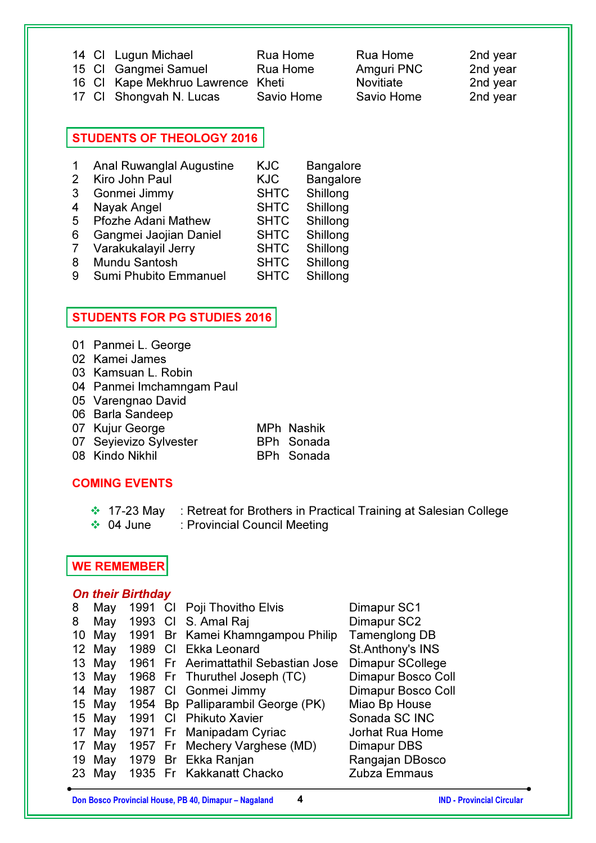|  | 14 Cl Lugun Michael               | Rua Home   | Rua Home         | 2nd year |
|--|-----------------------------------|------------|------------------|----------|
|  | 15 CI Gangmei Samuel              | Rua Home   | Amguri PNC       | 2nd year |
|  | 16 CI Kape Mekhruo Lawrence Kheti |            | <b>Novitiate</b> | 2nd year |
|  | 17 CI Shongvah N. Lucas           | Savio Home | Savio Home       | 2nd year |

# STUDENTS OF THEOLOGY 2016

|   | <b>Anal Ruwanglal Augustine</b> | <b>KJC</b>  | <b>Bangalore</b> |
|---|---------------------------------|-------------|------------------|
| 2 | Kiro John Paul                  | <b>KJC</b>  | <b>Bangalore</b> |
| 3 | Gonmei Jimmy                    | <b>SHTC</b> | Shillong         |
| 4 | Nayak Angel                     | <b>SHTC</b> | Shillong         |
| 5 | <b>Pfozhe Adani Mathew</b>      | <b>SHTC</b> | Shillong         |
| 6 | Gangmei Jaojian Daniel          | <b>SHTC</b> | Shillong         |
| 7 | Varakukalayil Jerry             | <b>SHTC</b> | Shillong         |
| 8 | <b>Mundu Santosh</b>            | <b>SHTC</b> | Shillong         |
| 9 | Sumi Phubito Emmanuel           | <b>SHTC</b> | Shillong         |

## STUDENTS FOR PG STUDIES 2016

- 01 Panmei L. George
- 02 Kamei James
- 03 Kamsuan L. Robin
- 04 Panmei Imchamngam Paul
- 05 Varengnao David
- 06 Barla Sandeep
- 07 Kujur George MPh Nashik
- 07 Seyievizo Sylvester BPh Sonada
- 08 Kindo Nikhil BPh Sonada
- 

## COMING EVENTS

- ❖ 17-23 May : Retreat for Brothers in Practical Training at Salesian College
- ◆ 04 June : Provincial Council Meeting

# WE REMEMBER

### On their Birthday

| 8 | May    | 1991 |     | CI Poji Thovitho Elvis               | Dimapur SC1        |
|---|--------|------|-----|--------------------------------------|--------------------|
| 8 | May    | 1993 |     | CI S. Amal Raj                       | Dimapur SC2        |
|   | 10 May | 1991 |     | Br Kamei Khamngampou Philip          | Tamenglong DB      |
|   | 12 May | 1989 | CI. | Ekka Leonard                         | St.Anthony's INS   |
|   | 13 May |      |     | 1961 Fr Aerimattathil Sebastian Jose | Dimapur SCollege   |
|   | 13 May |      |     | 1968 Fr Thuruthel Joseph (TC)        | Dimapur Bosco Coll |
|   | 14 May | 1987 |     | CI Gonmei Jimmy                      | Dimapur Bosco Coll |
|   | 15 May | 1954 |     | Bp Palliparambil George (PK)         | Miao Bp House      |
|   | 15 May | 1991 |     | CI Phikuto Xavier                    | Sonada SC INC      |
|   | 17 May |      |     | 1971 Fr Manipadam Cyriac             | Jorhat Rua Home    |
|   | 17 May |      |     | 1957 Fr Mechery Varghese (MD)        | Dimapur DBS        |
|   | 19 May | 1979 |     | Br Ekka Ranjan                       | Rangajan DBosco    |
|   | 23 May |      |     | 1935 Fr Kakkanatt Chacko             | Zubza Emmaus       |